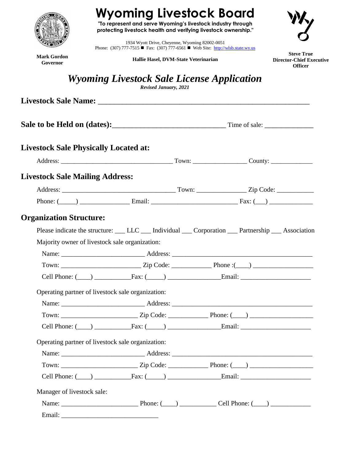

# **Wyoming Livestock Board**

**"To represent and serve Wyoming's livestock industry through protecting livestock health and verifying livestock ownership."**



1934 Wyott Drive, Cheyenne, Wyoming 82002-0051 Phone: (307) 777-7515 **Fax:** (307) 777-6561 Web Site: [http://wlsb.state.wy.us](http://wlsb.state.wy.us/)

**Mark Gordon Governor**

**Hallie Hasel, DVM-State Veterinarian**

**Steve True Director-Chief Executive Officer**

# *Wyoming Livestock Sale License Application*

*Revised January, 2021*

| <b>Livestock Sale Physically Located at:</b>                                                          |  |  |  |
|-------------------------------------------------------------------------------------------------------|--|--|--|
|                                                                                                       |  |  |  |
| <b>Livestock Sale Mailing Address:</b>                                                                |  |  |  |
|                                                                                                       |  |  |  |
|                                                                                                       |  |  |  |
| <b>Organization Structure:</b>                                                                        |  |  |  |
| Please indicate the structure: ___ LLC ___ Individual ___ Corporation ___ Partnership ___ Association |  |  |  |
| Majority owner of livestock sale organization:                                                        |  |  |  |
|                                                                                                       |  |  |  |
|                                                                                                       |  |  |  |
|                                                                                                       |  |  |  |
| Operating partner of livestock sale organization:                                                     |  |  |  |
|                                                                                                       |  |  |  |
|                                                                                                       |  |  |  |
|                                                                                                       |  |  |  |
| Operating partner of livestock sale organization:                                                     |  |  |  |
|                                                                                                       |  |  |  |
|                                                                                                       |  |  |  |
|                                                                                                       |  |  |  |
| Manager of livestock sale:                                                                            |  |  |  |
|                                                                                                       |  |  |  |
|                                                                                                       |  |  |  |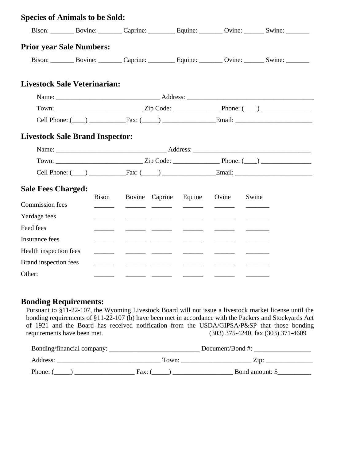| <b>Species of Animals to be Sold:</b>  |       |  |                                                                                                                       |                                                                                                                                                                                                                                                                                                                                                                                                                                                                                                                      |                                      |                                                                |
|----------------------------------------|-------|--|-----------------------------------------------------------------------------------------------------------------------|----------------------------------------------------------------------------------------------------------------------------------------------------------------------------------------------------------------------------------------------------------------------------------------------------------------------------------------------------------------------------------------------------------------------------------------------------------------------------------------------------------------------|--------------------------------------|----------------------------------------------------------------|
|                                        |       |  |                                                                                                                       |                                                                                                                                                                                                                                                                                                                                                                                                                                                                                                                      |                                      |                                                                |
| <b>Prior year Sale Numbers:</b>        |       |  |                                                                                                                       |                                                                                                                                                                                                                                                                                                                                                                                                                                                                                                                      |                                      |                                                                |
|                                        |       |  |                                                                                                                       |                                                                                                                                                                                                                                                                                                                                                                                                                                                                                                                      |                                      |                                                                |
| <b>Livestock Sale Veterinarian:</b>    |       |  |                                                                                                                       |                                                                                                                                                                                                                                                                                                                                                                                                                                                                                                                      |                                      |                                                                |
|                                        |       |  |                                                                                                                       |                                                                                                                                                                                                                                                                                                                                                                                                                                                                                                                      |                                      |                                                                |
|                                        |       |  |                                                                                                                       |                                                                                                                                                                                                                                                                                                                                                                                                                                                                                                                      |                                      |                                                                |
|                                        |       |  |                                                                                                                       |                                                                                                                                                                                                                                                                                                                                                                                                                                                                                                                      |                                      | Cell Phone: $(\_\_)$ Fax: $(\_\_)$ Fax: $(\_\_)$ Fax: $(\_\_)$ |
| <b>Livestock Sale Brand Inspector:</b> |       |  |                                                                                                                       |                                                                                                                                                                                                                                                                                                                                                                                                                                                                                                                      |                                      |                                                                |
|                                        |       |  |                                                                                                                       |                                                                                                                                                                                                                                                                                                                                                                                                                                                                                                                      |                                      |                                                                |
|                                        |       |  |                                                                                                                       |                                                                                                                                                                                                                                                                                                                                                                                                                                                                                                                      |                                      |                                                                |
|                                        |       |  |                                                                                                                       |                                                                                                                                                                                                                                                                                                                                                                                                                                                                                                                      |                                      | Cell Phone: $(\_\_)$ Fax: $(\_\_)$ Fax: $(\_\_)$ Email:        |
| <b>Sale Fees Charged:</b>              |       |  |                                                                                                                       |                                                                                                                                                                                                                                                                                                                                                                                                                                                                                                                      |                                      |                                                                |
| <b>Commission</b> fees                 | Bison |  |                                                                                                                       | Bovine Caprine Equine Ovine                                                                                                                                                                                                                                                                                                                                                                                                                                                                                          | <u> Andrewski († 18. marec 1888)</u> | Swine                                                          |
| Yardage fees                           |       |  |                                                                                                                       |                                                                                                                                                                                                                                                                                                                                                                                                                                                                                                                      |                                      |                                                                |
| Feed fees                              |       |  |                                                                                                                       | $\begin{array}{cccccccccc} \hline \end{array} \hspace{0.27em} \begin{array}{cccccccccc} \hline \end{array} \hspace{0.27em} \begin{array}{cccccccccc} \hline \end{array} \hspace{0.27em} \begin{array}{cccccccccc} \hline \end{array} \hspace{0.27em} \begin{array}{cccccccccc} \hline \end{array} \hspace{0.27em} \begin{array}{cccccccccc} \hline \end{array} \hspace{0.27em} \begin{array}{cccccccccc} \hline \end{array} \hspace{0.27em} \begin{array}{cccccccccc} \hline \end{array} \hspace{0.27em} \end{array$ |                                      |                                                                |
| Insurance fees                         |       |  |                                                                                                                       | $\overline{a}$ and $\overline{a}$ and $\overline{a}$ and $\overline{a}$                                                                                                                                                                                                                                                                                                                                                                                                                                              |                                      |                                                                |
| Health inspection fees                 |       |  |                                                                                                                       |                                                                                                                                                                                                                                                                                                                                                                                                                                                                                                                      |                                      |                                                                |
| Brand inspection fees                  |       |  | <u> Alexandro de Alexandro de Alexandro de Alexandro de Alexandro de Alexandro de Alexandro de Alexandro de Alexa</u> | $\frac{1}{2} \left( \frac{1}{2} \right) \left( \frac{1}{2} \right) \left( \frac{1}{2} \right) \left( \frac{1}{2} \right) \left( \frac{1}{2} \right) \left( \frac{1}{2} \right) \left( \frac{1}{2} \right) \left( \frac{1}{2} \right) \left( \frac{1}{2} \right) \left( \frac{1}{2} \right) \left( \frac{1}{2} \right) \left( \frac{1}{2} \right) \left( \frac{1}{2} \right) \left( \frac{1}{2} \right) \left( \frac{1}{2} \right) \left( \frac{1}{2} \right) \left( \frac$                                           |                                      |                                                                |
| Other:                                 |       |  |                                                                                                                       | <u> 1986 - Jan Alexander III, politik politik (</u>                                                                                                                                                                                                                                                                                                                                                                                                                                                                  |                                      |                                                                |

# **Bonding Requirements:**

Pursuant to §11-22-107, the Wyoming Livestock Board will not issue a livestock market license until the bonding requirements of §11-22-107 (b) have been met in accordance with the Packers and Stockyards Act of 1921 and the Board has received notification from the USDA/GIPSA/P&SP that those bonding requirements have been met. (303) 375-4240, fax (303) 371-4609

| Bonding/financial company: | Document/Bond #: |                 |  |
|----------------------------|------------------|-----------------|--|
| Address:                   | Town:            | $Z$ in:         |  |
| Phone: (                   | Fax:             | Bond amount: \$ |  |